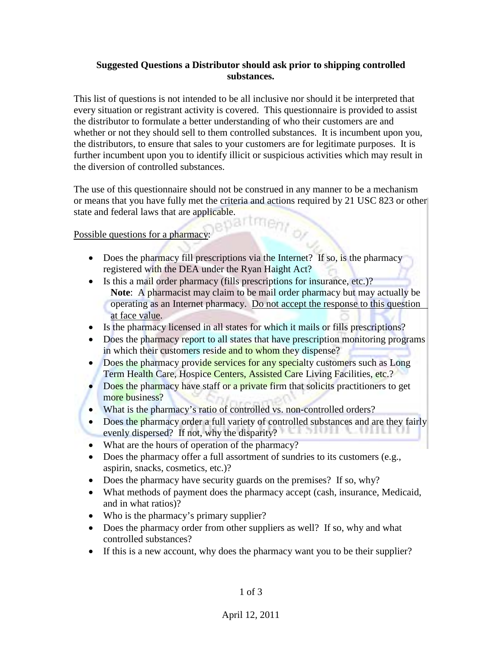## **Suggested Questions a Distributor should ask prior to shipping controlled substances.**

This list of questions is not intended to be all inclusive nor should it be interpreted that every situation or registrant activity is covered. This questionnaire is provided to assist the distributor to formulate a better understanding of who their customers are and whether or not they should sell to them controlled substances. It is incumbent upon you, the distributors, to ensure that sales to your customers are for legitimate purposes. It is further incumbent upon you to identify illicit or suspicious activities which may result in the diversion of controlled substances.

The use of this questionnaire should not be construed in any manner to be a mechanism or means that you have fully met the criteria and actions required by 21 USC 823 or other state and federal laws that are applicable. tmen,

Possible questions for a pharmacy:

- Does the pharmacy fill prescriptions via the Internet? If so, is the pharmacy registered with the DEA under the Ryan Haight Act?
- Is this a mail order pharmacy (fills prescriptions for insurance, etc.)? **Note**: A pharmacist may claim to be mail order pharmacy but may actually be operating as an Internet pharmacy. Do not accept the response to this question at face value.
- Is the pharmacy licensed in all states for which it mails or fills prescriptions?
- Does the pharmacy report to all states that have prescription monitoring programs in which their customers reside and to whom they dispense?
- Does the pharmacy provide services for any specialty customers such as Long Term Health Care, Hospice Centers, Assisted Care Living Facilities, etc.?
- **Does the pharmacy have staff or a private firm that solicits practitioners to get** more business?
- What is the pharmacy's ratio of controlled vs. non-controlled orders?
- Does the pharmacy order a full variety of controlled substances and are they fairly evenly dispersed? If not, why the disparity?
- What are the hours of operation of the pharmacy?
- Does the pharmacy offer a full assortment of sundries to its customers (e.g., aspirin, snacks, cosmetics, etc.)?
- Does the pharmacy have security guards on the premises? If so, why?
- What methods of payment does the pharmacy accept (cash, insurance, Medicaid, and in what ratios)?
- Who is the pharmacy's primary supplier?
- Does the pharmacy order from other suppliers as well? If so, why and what controlled substances?
- If this is a new account, why does the pharmacy want you to be their supplier?

1 of 3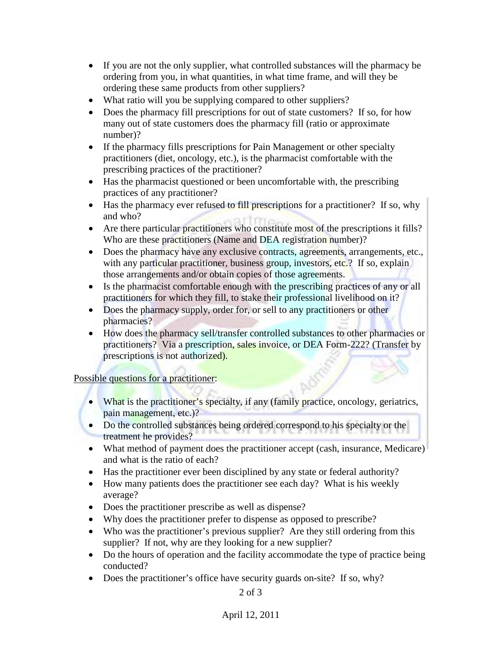- If you are not the only supplier, what controlled substances will the pharmacy be ordering from you, in what quantities, in what time frame, and will they be ordering these same products from other suppliers?
- What ratio will you be supplying compared to other suppliers?
- Does the pharmacy fill prescriptions for out of state customers? If so, for how many out of state customers does the pharmacy fill (ratio or approximate number)?
- If the pharmacy fills prescriptions for Pain Management or other specialty practitioners (diet, oncology, etc.), is the pharmacist comfortable with the prescribing practices of the practitioner?
- Has the pharmacist questioned or been uncomfortable with, the prescribing practices of any practitioner?
- Has the pharmacy ever refused to fill prescriptions for a practitioner? If so, why and who?
- Are there particular practitioners who constitute most of the prescriptions it fills? Who are these practitioners (Name and DEA registration number)?
- Does the pharmacy have any exclusive contracts, agreements, arrangements, etc., with any particular practitioner, business group, investors, etc.? If so, explain those arrangements and/or obtain copies of those agreements.
- Is the pharmacist comfortable enough with the prescribing practices of any or all practitioners for which they fill, to stake their professional livelihood on it?
- Does the pharmacy supply, order for, or sell to any practitioners or other pharmacies?
- How does the pharmacy sell/transfer controlled substances to other pharmacies or practitioners? Via a prescription, sales invoice, or DEA Form-222? (Transfer by prescriptions is not authorized).

## Possible questions for a practitioner:

- What is the practitioner's specialty, if any (family practice, oncology, geriatrics, pain management, etc.)?
- Do the controlled substances being ordered correspond to his specialty or the treatment he provides?
- What method of payment does the practitioner accept (cash, insurance, Medicare) and what is the ratio of each?
- Has the practitioner ever been disciplined by any state or federal authority?
- How many patients does the practitioner see each day? What is his weekly average?
- Does the practitioner prescribe as well as dispense?
- Why does the practitioner prefer to dispense as opposed to prescribe?
- Who was the practitioner's previous supplier? Are they still ordering from this supplier? If not, why are they looking for a new supplier?
- Do the hours of operation and the facility accommodate the type of practice being conducted?
- Does the practitioner's office have security guards on-site? If so, why?